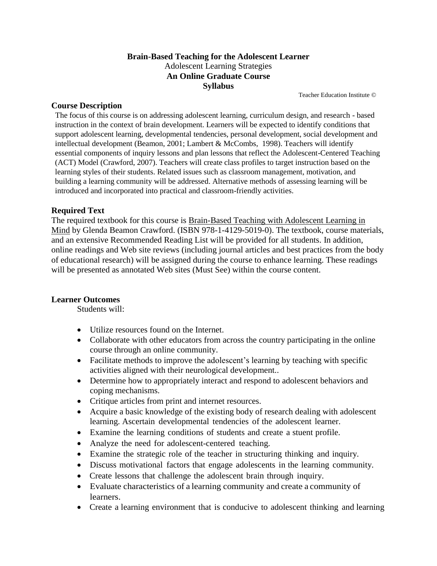### **Brain-Based Teaching for the Adolescent Learner** Adolescent Learning Strategies **An Online Graduate Course Syllabus**

Teacher Education Institute ©

#### **Course Description**

The focus of this course is on addressing adolescent learning, curriculum design, and research - based instruction in the context of brain development. Learners will be expected to identify conditions that support adolescent learning, developmental tendencies, personal development, social development and intellectual development (Beamon, 2001; Lambert & McCombs, 1998). Teachers will identify essential components of inquiry lessons and plan lessons that reflect the Adolescent-Centered Teaching (ACT) Model (Crawford, 2007). Teachers will create class profiles to target instruction based on the learning styles of their students. Related issues such as classroom management, motivation, and building a learning community will be addressed. Alternative methods of assessing learning will be introduced and incorporated into practical and classroom-friendly activities.

### **Required Text**

The required textbook for this course is Brain-Based Teaching with Adolescent Learning in Mind by Glenda Beamon Crawford. (ISBN 978-1-4129-5019-0). The textbook, course materials, and an extensive Recommended Reading List will be provided for all students. In addition, online readings and Web site reviews (including journal articles and best practices from the body of educational research) will be assigned during the course to enhance learning. These readings will be presented as annotated Web sites (Must See) within the course content.

### **Learner Outcomes**

Students will:

- Utilize resources found on the Internet.
- Collaborate with other educators from across the country participating in the online course through an online community.
- Facilitate methods to improve the adolescent's learning by teaching with specific activities aligned with their neurological development..
- Determine how to appropriately interact and respond to adolescent behaviors and coping mechanisms.
- Critique articles from print and internet resources.
- Acquire a basic knowledge of the existing body of research dealing with adolescent learning. Ascertain developmental tendencies of the adolescent learner.
- Examine the learning conditions of students and create a stuent profile.
- Analyze the need for adolescent-centered teaching.
- Examine the strategic role of the teacher in structuring thinking and inquiry.
- Discuss motivational factors that engage adolescents in the learning community.
- Create lessons that challenge the adolescent brain through inquiry.
- Evaluate characteristics of a learning community and create a community of learners.
- Create a learning environment that is conducive to adolescent thinking and learning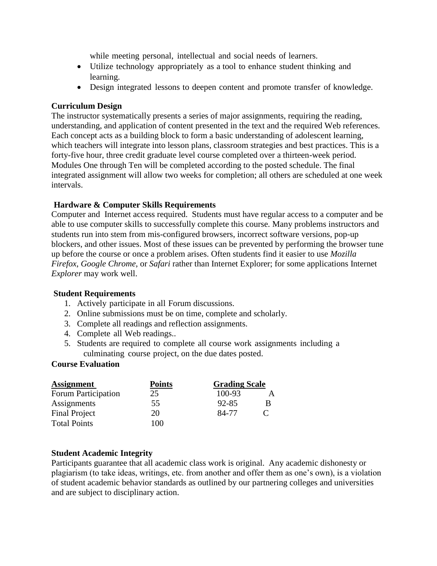while meeting personal, intellectual and social needs of learners.

- Utilize technology appropriately as a tool to enhance student thinking and learning.
- Design integrated lessons to deepen content and promote transfer of knowledge.

### **Curriculum Design**

The instructor systematically presents a series of major assignments, requiring the reading, understanding, and application of content presented in the text and the required Web references. Each concept acts as a building block to form a basic understanding of adolescent learning, which teachers will integrate into lesson plans, classroom strategies and best practices. This is a forty-five hour, three credit graduate level course completed over a thirteen-week period. Modules One through Ten will be completed according to the posted schedule. The final integrated assignment will allow two weeks for completion; all others are scheduled at one week intervals.

## **Hardware & Computer Skills Requirements**

Computer and Internet access required. Students must have regular access to a computer and be able to use computer skills to successfully complete this course. Many problems instructors and students run into stem from mis-configured browsers, incorrect software versions, pop-up blockers, and other issues. Most of these issues can be prevented by performing the browser tune up before the course or once a problem arises. Often students find it easier to use *Mozilla Firefox*, *Google Chrome*, or *Safari* rather than Internet Explorer; for some applications Internet *Explorer* may work well.

### **Student Requirements**

- 1. Actively participate in all Forum discussions.
- 2. Online submissions must be on time, complete and scholarly.
- 3. Complete all readings and reflection assignments.
- 4. Complete all Web readings..
- 5. Students are required to complete all course work assignments including a culminating course project, on the due dates posted.

### **Course Evaluation**

| <b>Assignment</b>    | <b>Points</b><br>25 | <b>Grading Scale</b> |   |
|----------------------|---------------------|----------------------|---|
| Forum Participation  |                     | 100-93               |   |
| Assignments          | 55                  | 92-85                | В |
| <b>Final Project</b> | 20                  | 84-77                |   |
| <b>Total Points</b>  | 100                 |                      |   |

### **Student Academic Integrity**

Participants guarantee that all academic class work is original. Any academic dishonesty or plagiarism (to take ideas, writings, etc. from another and offer them as one's own), is a violation of student academic behavior standards as outlined by our partnering colleges and universities and are subject to disciplinary action.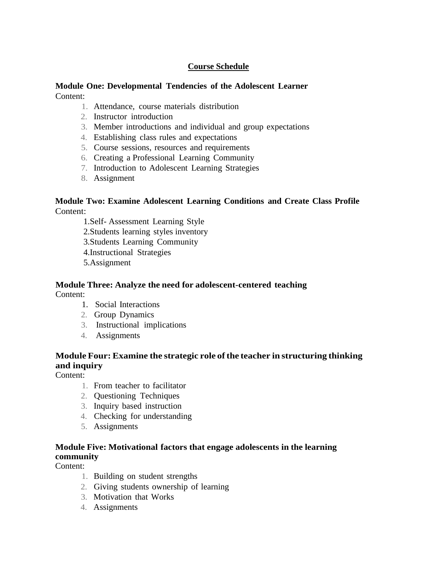## **Course Schedule**

#### **Module One: Developmental Tendencies of the Adolescent Learner** Content:

- 1. Attendance, course materials distribution
- 2. Instructor introduction
- 3. Member introductions and individual and group expectations
- 4. Establishing class rules and expectations
- 5. Course sessions, resources and requirements
- 6. Creating a Professional Learning Community
- 7. Introduction to Adolescent Learning Strategies
- 8. Assignment

### **Module Two: Examine Adolescent Learning Conditions and Create Class Profile** Content:

1.Self- Assessment Learning Style 2.Students learning styles inventory 3.Students Learning Community 4.Instructional Strategies 5.Assignment

#### **Module Three: Analyze the need for adolescent-centered teaching** Content:

- 1. Social Interactions
- 2. Group Dynamics
- 3. Instructional implications
- 4. Assignments

## **Module Four: Examine the strategic role ofthe teacher in structuring thinking and inquiry**

Content:

- 1. From teacher to facilitator
- 2. Questioning Techniques
- 3. Inquiry based instruction
- 4. Checking for understanding
- 5. Assignments

## **Module Five: Motivational factors that engage adolescents in the learning community**

Content:

- 1. Building on student strengths
- 2. Giving students ownership of learning
- 3. Motivation that Works
- 4. Assignments